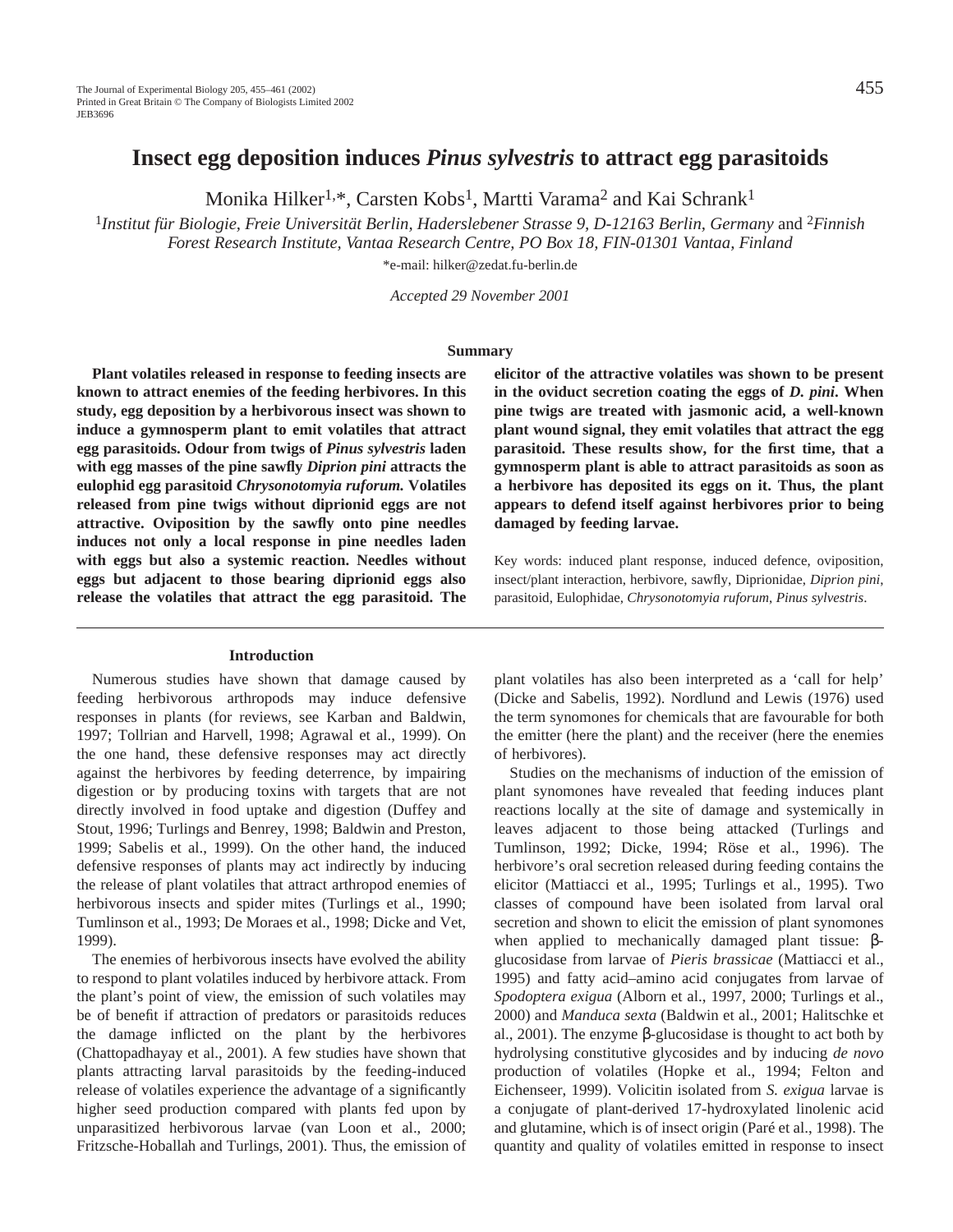Monika Hilker<sup>1,\*</sup>, Carsten Kobs<sup>1</sup>, Martti Varama<sup>2</sup> and Kai Schrank<sup>1</sup>

<sup>1</sup>*Institut für Biologie, Freie Universität Berlin, Haderslebener Strasse 9, D-12163 Berlin, Germany* and 2*Finnish Forest Research Institute, Vantaa Research Centre, PO Box 18, FIN-01301 Vantaa, Finland*

\*e-mail: hilker@zedat.fu-berlin.de

*Accepted 29 November 2001*

#### **Summary**

**Plant volatiles released in response to feeding insects are known to attract enemies of the feeding herbivores. In this study, egg deposition by a herbivorous insect was shown to induce a gymnosperm plant to emit volatiles that attract egg parasitoids. Odour from twigs of** *Pinus sylvestris* **laden with egg masses of the pine sawfly** *Diprion pini* **attracts the eulophid egg parasitoid** *Chrysonotomyia ruforum.* **Volatiles released from pine twigs without diprionid eggs are not attractive. Oviposition by the sawfly onto pine needles induces not only a local response in pine needles laden with eggs but also a systemic reaction. Needles without eggs but adjacent to those bearing diprionid eggs also release the volatiles that attract the egg parasitoid. The**

#### **Introduction**

Numerous studies have shown that damage caused by feeding herbivorous arthropods may induce defensive responses in plants (for reviews, see Karban and Baldwin, 1997; Tollrian and Harvell, 1998; Agrawal et al., 1999). On the one hand, these defensive responses may act directly against the herbivores by feeding deterrence, by impairing digestion or by producing toxins with targets that are not directly involved in food uptake and digestion (Duffey and Stout, 1996; Turlings and Benrey, 1998; Baldwin and Preston, 1999; Sabelis et al., 1999). On the other hand, the induced defensive responses of plants may act indirectly by inducing the release of plant volatiles that attract arthropod enemies of herbivorous insects and spider mites (Turlings et al., 1990; Tumlinson et al., 1993; De Moraes et al., 1998; Dicke and Vet, 1999).

The enemies of herbivorous insects have evolved the ability to respond to plant volatiles induced by herbivore attack. From the plant's point of view, the emission of such volatiles may be of benefit if attraction of predators or parasitoids reduces the damage inflicted on the plant by the herbivores (Chattopadhayay et al., 2001). A few studies have shown that plants attracting larval parasitoids by the feeding-induced release of volatiles experience the advantage of a significantly higher seed production compared with plants fed upon by unparasitized herbivorous larvae (van Loon et al., 2000; Fritzsche-Hoballah and Turlings, 2001). Thus, the emission of **elicitor of the attractive volatiles was shown to be present in the oviduct secretion coating the eggs of** *D. pini***. When pine twigs are treated with jasmonic acid, a well-known plant wound signal, they emit volatiles that attract the egg parasitoid. These results show, for the first time, that a gymnosperm plant is able to attract parasitoids as soon as a herbivore has deposited its eggs on it. Thus, the plant appears to defend itself against herbivores prior to being damaged by feeding larvae.**

Key words: induced plant response, induced defence, oviposition, insect/plant interaction, herbivore, sawfly, Diprionidae, *Diprion pini*, parasitoid, Eulophidae, *Chrysonotomyia ruforum*, *Pinus sylvestris*.

plant volatiles has also been interpreted as a 'call for help' (Dicke and Sabelis, 1992). Nordlund and Lewis (1976) used the term synomones for chemicals that are favourable for both the emitter (here the plant) and the receiver (here the enemies of herbivores).

Studies on the mechanisms of induction of the emission of plant synomones have revealed that feeding induces plant reactions locally at the site of damage and systemically in leaves adjacent to those being attacked (Turlings and Tumlinson, 1992; Dicke, 1994; Röse et al., 1996). The herbivore's oral secretion released during feeding contains the elicitor (Mattiacci et al., 1995; Turlings et al., 1995). Two classes of compound have been isolated from larval oral secretion and shown to elicit the emission of plant synomones when applied to mechanically damaged plant tissue: βglucosidase from larvae of *Pieris brassicae* (Mattiacci et al., 1995) and fatty acid–amino acid conjugates from larvae of *Spodoptera exigua* (Alborn et al., 1997, 2000; Turlings et al., 2000) and *Manduca sexta* (Baldwin et al., 2001; Halitschke et al., 2001). The enzyme β-glucosidase is thought to act both by hydrolysing constitutive glycosides and by inducing *de novo* production of volatiles (Hopke et al., 1994; Felton and Eichenseer, 1999). Volicitin isolated from *S. exigua* larvae is a conjugate of plant-derived 17-hydroxylated linolenic acid and glutamine, which is of insect origin (Paré et al., 1998). The quantity and quality of volatiles emitted in response to insect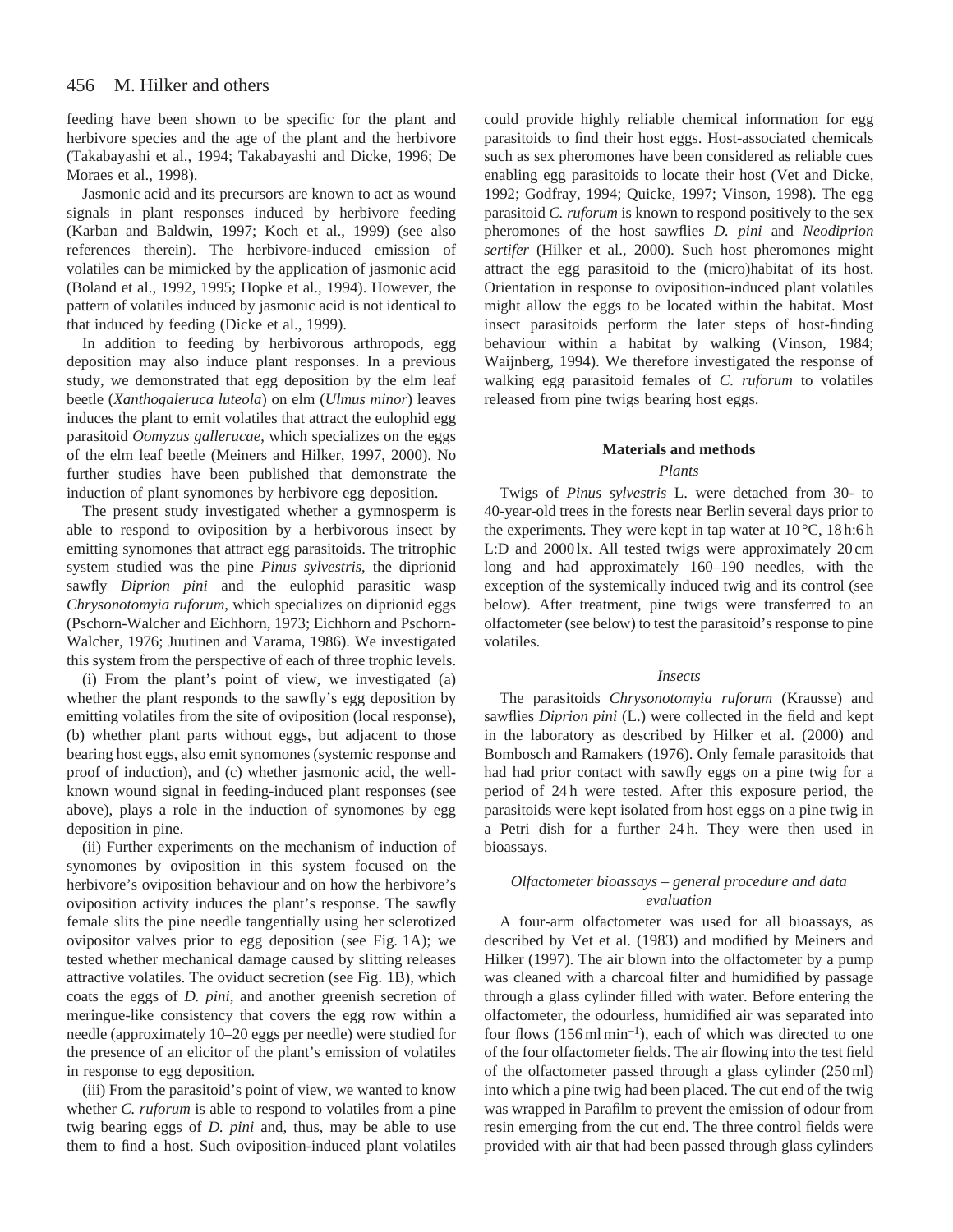feeding have been shown to be specific for the plant and herbivore species and the age of the plant and the herbivore (Takabayashi et al., 1994; Takabayashi and Dicke, 1996; De Moraes et al., 1998).

Jasmonic acid and its precursors are known to act as wound signals in plant responses induced by herbivore feeding (Karban and Baldwin, 1997; Koch et al., 1999) (see also references therein). The herbivore-induced emission of volatiles can be mimicked by the application of jasmonic acid (Boland et al., 1992, 1995; Hopke et al., 1994). However, the pattern of volatiles induced by jasmonic acid is not identical to that induced by feeding (Dicke et al., 1999).

In addition to feeding by herbivorous arthropods, egg deposition may also induce plant responses. In a previous study, we demonstrated that egg deposition by the elm leaf beetle (*Xanthogaleruca luteola*) on elm (*Ulmus minor*) leaves induces the plant to emit volatiles that attract the eulophid egg parasitoid *Oomyzus gallerucae*, which specializes on the eggs of the elm leaf beetle (Meiners and Hilker, 1997, 2000). No further studies have been published that demonstrate the induction of plant synomones by herbivore egg deposition.

The present study investigated whether a gymnosperm is able to respond to oviposition by a herbivorous insect by emitting synomones that attract egg parasitoids. The tritrophic system studied was the pine *Pinus sylvestris*, the diprionid sawfly *Diprion pini* and the eulophid parasitic wasp *Chrysonotomyia ruforum*, which specializes on diprionid eggs (Pschorn-Walcher and Eichhorn, 1973; Eichhorn and Pschorn-Walcher, 1976; Juutinen and Varama, 1986). We investigated this system from the perspective of each of three trophic levels.

(i) From the plant's point of view, we investigated (a) whether the plant responds to the sawfly's egg deposition by emitting volatiles from the site of oviposition (local response), (b) whether plant parts without eggs, but adjacent to those bearing host eggs, also emit synomones (systemic response and proof of induction), and (c) whether jasmonic acid, the wellknown wound signal in feeding-induced plant responses (see above), plays a role in the induction of synomones by egg deposition in pine.

(ii) Further experiments on the mechanism of induction of synomones by oviposition in this system focused on the herbivore's oviposition behaviour and on how the herbivore's oviposition activity induces the plant's response. The sawfly female slits the pine needle tangentially using her sclerotized ovipositor valves prior to egg deposition (see Fig. 1A); we tested whether mechanical damage caused by slitting releases attractive volatiles. The oviduct secretion (see Fig. 1B), which coats the eggs of *D. pini*, and another greenish secretion of meringue-like consistency that covers the egg row within a needle (approximately 10–20 eggs per needle) were studied for the presence of an elicitor of the plant's emission of volatiles in response to egg deposition.

(iii) From the parasitoid's point of view, we wanted to know whether *C. ruforum* is able to respond to volatiles from a pine twig bearing eggs of *D. pini* and, thus, may be able to use them to find a host. Such oviposition-induced plant volatiles

could provide highly reliable chemical information for egg parasitoids to find their host eggs. Host-associated chemicals such as sex pheromones have been considered as reliable cues enabling egg parasitoids to locate their host (Vet and Dicke, 1992; Godfray, 1994; Quicke, 1997; Vinson, 1998). The egg parasitoid *C. ruforum* is known to respond positively to the sex pheromones of the host sawflies *D. pini* and *Neodiprion sertifer* (Hilker et al., 2000). Such host pheromones might attract the egg parasitoid to the (micro)habitat of its host. Orientation in response to oviposition-induced plant volatiles might allow the eggs to be located within the habitat. Most insect parasitoids perform the later steps of host-finding behaviour within a habitat by walking (Vinson, 1984; Waijnberg, 1994). We therefore investigated the response of walking egg parasitoid females of *C. ruforum* to volatiles released from pine twigs bearing host eggs.

# **Materials and methods**

## *Plants*

Twigs of *Pinus sylvestris* L. were detached from 30- to 40-year-old trees in the forests near Berlin several days prior to the experiments. They were kept in tap water at 10 °C, 18 h:6 h L:D and 2000 lx. All tested twigs were approximately 20 cm long and had approximately 160–190 needles, with the exception of the systemically induced twig and its control (see below). After treatment, pine twigs were transferred to an olfactometer (see below) to test the parasitoid's response to pine volatiles.

### *Insects*

The parasitoids *Chrysonotomyia ruforum* (Krausse) and sawflies *Diprion pini* (L.) were collected in the field and kept in the laboratory as described by Hilker et al. (2000) and Bombosch and Ramakers (1976). Only female parasitoids that had had prior contact with sawfly eggs on a pine twig for a period of 24 h were tested. After this exposure period, the parasitoids were kept isolated from host eggs on a pine twig in a Petri dish for a further 24 h. They were then used in bioassays.

## *Olfactometer bioassays – general procedure and data evaluation*

A four-arm olfactometer was used for all bioassays, as described by Vet et al. (1983) and modified by Meiners and Hilker (1997). The air blown into the olfactometer by a pump was cleaned with a charcoal filter and humidified by passage through a glass cylinder filled with water. Before entering the olfactometer, the odourless, humidified air was separated into four flows  $(156 \text{ ml min}^{-1})$ , each of which was directed to one of the four olfactometer fields. The air flowing into the test field of the olfactometer passed through a glass cylinder (250 ml) into which a pine twig had been placed. The cut end of the twig was wrapped in Parafilm to prevent the emission of odour from resin emerging from the cut end. The three control fields were provided with air that had been passed through glass cylinders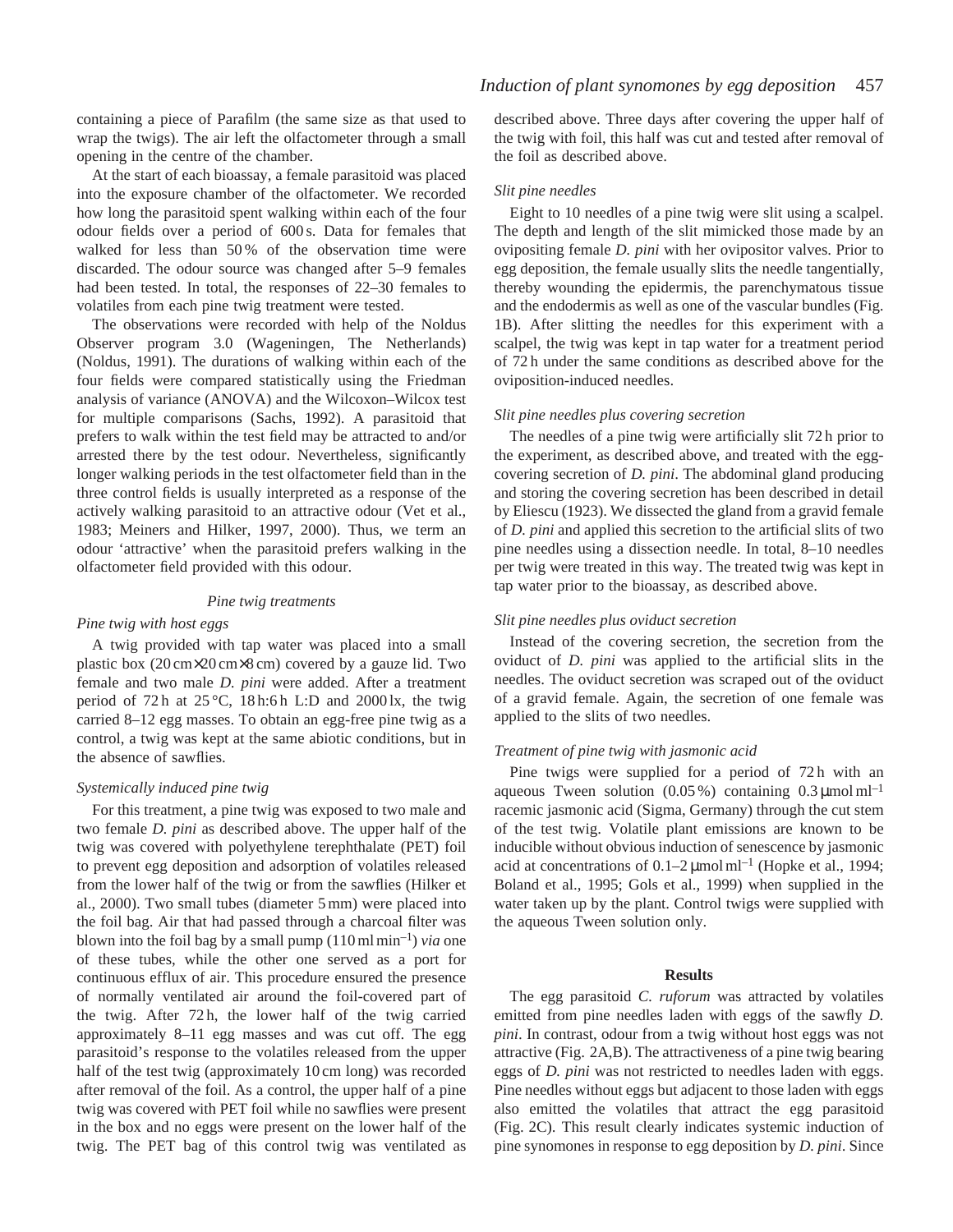containing a piece of Parafilm (the same size as that used to wrap the twigs). The air left the olfactometer through a small opening in the centre of the chamber.

At the start of each bioassay, a female parasitoid was placed into the exposure chamber of the olfactometer. We recorded how long the parasitoid spent walking within each of the four odour fields over a period of 600 s. Data for females that walked for less than 50% of the observation time were discarded. The odour source was changed after 5–9 females had been tested. In total, the responses of 22–30 females to volatiles from each pine twig treatment were tested.

The observations were recorded with help of the Noldus Observer program 3.0 (Wageningen, The Netherlands) (Noldus, 1991). The durations of walking within each of the four fields were compared statistically using the Friedman analysis of variance (ANOVA) and the Wilcoxon–Wilcox test for multiple comparisons (Sachs, 1992). A parasitoid that prefers to walk within the test field may be attracted to and/or arrested there by the test odour. Nevertheless, significantly longer walking periods in the test olfactometer field than in the three control fields is usually interpreted as a response of the actively walking parasitoid to an attractive odour (Vet et al., 1983; Meiners and Hilker, 1997, 2000). Thus, we term an odour 'attractive' when the parasitoid prefers walking in the olfactometer field provided with this odour.

#### *Pine twig treatments*

### *Pine twig with host eggs*

A twig provided with tap water was placed into a small plastic box (20 cm×20 cm×8 cm) covered by a gauze lid. Two female and two male *D. pini* were added. After a treatment period of 72 h at  $25^{\circ}$ C, 18 h:6 h L:D and 2000 lx, the twig carried 8–12 egg masses. To obtain an egg-free pine twig as a control, a twig was kept at the same abiotic conditions, but in the absence of sawflies.

## *Systemically induced pine twig*

For this treatment, a pine twig was exposed to two male and two female *D. pini* as described above. The upper half of the twig was covered with polyethylene terephthalate (PET) foil to prevent egg deposition and adsorption of volatiles released from the lower half of the twig or from the sawflies (Hilker et al., 2000). Two small tubes (diameter 5 mm) were placed into the foil bag. Air that had passed through a charcoal filter was blown into the foil bag by a small pump  $(110 \text{ ml min}^{-1})$  *via* one of these tubes, while the other one served as a port for continuous efflux of air. This procedure ensured the presence of normally ventilated air around the foil-covered part of the twig. After 72 h, the lower half of the twig carried approximately 8–11 egg masses and was cut off. The egg parasitoid's response to the volatiles released from the upper half of the test twig (approximately 10 cm long) was recorded after removal of the foil. As a control, the upper half of a pine twig was covered with PET foil while no sawflies were present in the box and no eggs were present on the lower half of the twig. The PET bag of this control twig was ventilated as described above. Three days after covering the upper half of the twig with foil, this half was cut and tested after removal of the foil as described above.

#### *Slit pine needles*

Eight to 10 needles of a pine twig were slit using a scalpel. The depth and length of the slit mimicked those made by an ovipositing female *D. pini* with her ovipositor valves. Prior to egg deposition, the female usually slits the needle tangentially, thereby wounding the epidermis, the parenchymatous tissue and the endodermis as well as one of the vascular bundles (Fig. 1B). After slitting the needles for this experiment with a scalpel, the twig was kept in tap water for a treatment period of 72 h under the same conditions as described above for the oviposition-induced needles.

#### *Slit pine needles plus covering secretion*

The needles of a pine twig were artificially slit 72 h prior to the experiment, as described above, and treated with the eggcovering secretion of *D. pini*. The abdominal gland producing and storing the covering secretion has been described in detail by Eliescu (1923). We dissected the gland from a gravid female of *D. pini* and applied this secretion to the artificial slits of two pine needles using a dissection needle. In total, 8–10 needles per twig were treated in this way. The treated twig was kept in tap water prior to the bioassay, as described above.

## *Slit pine needles plus oviduct secretion*

Instead of the covering secretion, the secretion from the oviduct of *D. pini* was applied to the artificial slits in the needles. The oviduct secretion was scraped out of the oviduct of a gravid female. Again, the secretion of one female was applied to the slits of two needles.

#### *Treatment of pine twig with jasmonic acid*

Pine twigs were supplied for a period of 72h with an aqueous Tween solution  $(0.05\%)$  containing  $0.3 \mu$ mol ml<sup>-1</sup> racemic jasmonic acid (Sigma, Germany) through the cut stem of the test twig. Volatile plant emissions are known to be inducible without obvious induction of senescence by jasmonic acid at concentrations of  $0.1-2 \mu$  mol ml<sup>-1</sup> (Hopke et al., 1994; Boland et al., 1995; Gols et al., 1999) when supplied in the water taken up by the plant. Control twigs were supplied with the aqueous Tween solution only.

#### **Results**

The egg parasitoid *C. ruforum* was attracted by volatiles emitted from pine needles laden with eggs of the sawfly *D. pini*. In contrast, odour from a twig without host eggs was not attractive (Fig. 2A,B). The attractiveness of a pine twig bearing eggs of *D. pini* was not restricted to needles laden with eggs. Pine needles without eggs but adjacent to those laden with eggs also emitted the volatiles that attract the egg parasitoid (Fig. 2C). This result clearly indicates systemic induction of pine synomones in response to egg deposition by *D. pini*. Since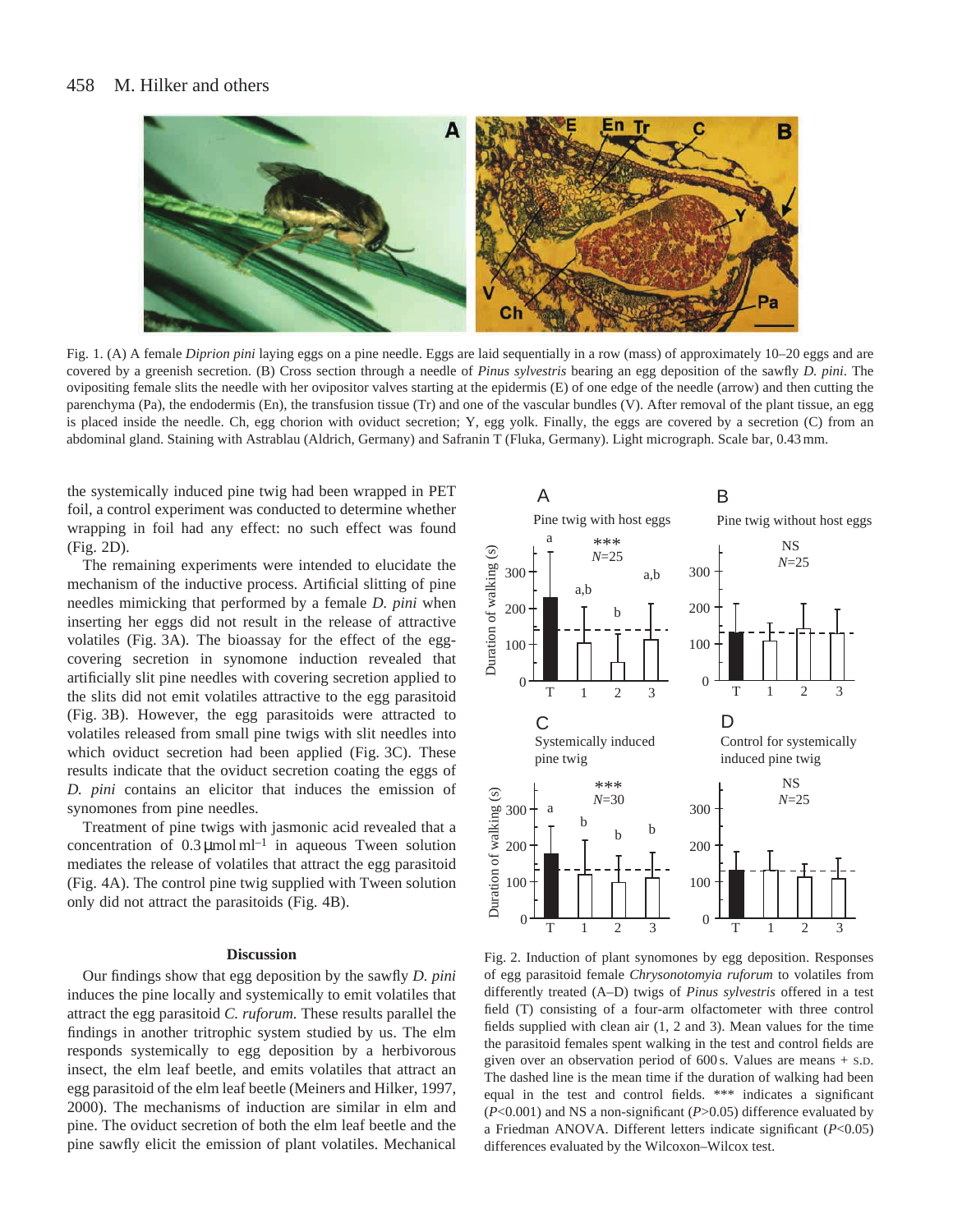#### 458 M. Hilker and others



Fig. 1. (A) A female *Diprion pini* laying eggs on a pine needle. Eggs are laid sequentially in a row (mass) of approximately 10–20 eggs and are covered by a greenish secretion. (B) Cross section through a needle of *Pinus sylvestris* bearing an egg deposition of the sawfly *D. pini*. The ovipositing female slits the needle with her ovipositor valves starting at the epidermis (E) of one edge of the needle (arrow) and then cutting the parenchyma (Pa), the endodermis (En), the transfusion tissue (Tr) and one of the vascular bundles (V). After removal of the plant tissue, an egg is placed inside the needle. Ch, egg chorion with oviduct secretion; Y, egg yolk. Finally, the eggs are covered by a secretion (C) from an abdominal gland. Staining with Astrablau (Aldrich, Germany) and Safranin T (Fluka, Germany). Light micrograph. Scale bar, 0.43 mm.

the systemically induced pine twig had been wrapped in PET foil, a control experiment was conducted to determine whether wrapping in foil had any effect: no such effect was found (Fig. 2D).

The remaining experiments were intended to elucidate the mechanism of the inductive process. Artificial slitting of pine needles mimicking that performed by a female *D. pini* when inserting her eggs did not result in the release of attractive volatiles (Fig. 3A). The bioassay for the effect of the eggcovering secretion in synomone induction revealed that artificially slit pine needles with covering secretion applied to the slits did not emit volatiles attractive to the egg parasitoid (Fig. 3B). However, the egg parasitoids were attracted to volatiles released from small pine twigs with slit needles into which oviduct secretion had been applied (Fig. 3C). These results indicate that the oviduct secretion coating the eggs of *D. pini* contains an elicitor that induces the emission of synomones from pine needles.

Treatment of pine twigs with jasmonic acid revealed that a concentration of  $0.3 \mu$ mol ml<sup>-1</sup> in aqueous Tween solution mediates the release of volatiles that attract the egg parasitoid (Fig. 4A). The control pine twig supplied with Tween solution only did not attract the parasitoids (Fig. 4B).

#### **Discussion**

Our findings show that egg deposition by the sawfly *D. pini* induces the pine locally and systemically to emit volatiles that attract the egg parasitoid *C. ruforum.* These results parallel the findings in another tritrophic system studied by us. The elm responds systemically to egg deposition by a herbivorous insect, the elm leaf beetle, and emits volatiles that attract an egg parasitoid of the elm leaf beetle (Meiners and Hilker, 1997, 2000). The mechanisms of induction are similar in elm and pine. The oviduct secretion of both the elm leaf beetle and the pine sawfly elicit the emission of plant volatiles. Mechanical



Fig. 2. Induction of plant synomones by egg deposition. Responses of egg parasitoid female *Chrysonotomyia ruforum* to volatiles from differently treated (A–D) twigs of *Pinus sylvestris* offered in a test field (T) consisting of a four-arm olfactometer with three control fields supplied with clean air (1, 2 and 3). Mean values for the time the parasitoid females spent walking in the test and control fields are given over an observation period of 600 s. Values are means + S.D. The dashed line is the mean time if the duration of walking had been equal in the test and control fields. \*\*\* indicates a significant (*P*<0.001) and NS a non-significant (*P*>0.05) difference evaluated by a Friedman ANOVA. Different letters indicate significant (*P*<0.05) differences evaluated by the Wilcoxon–Wilcox test.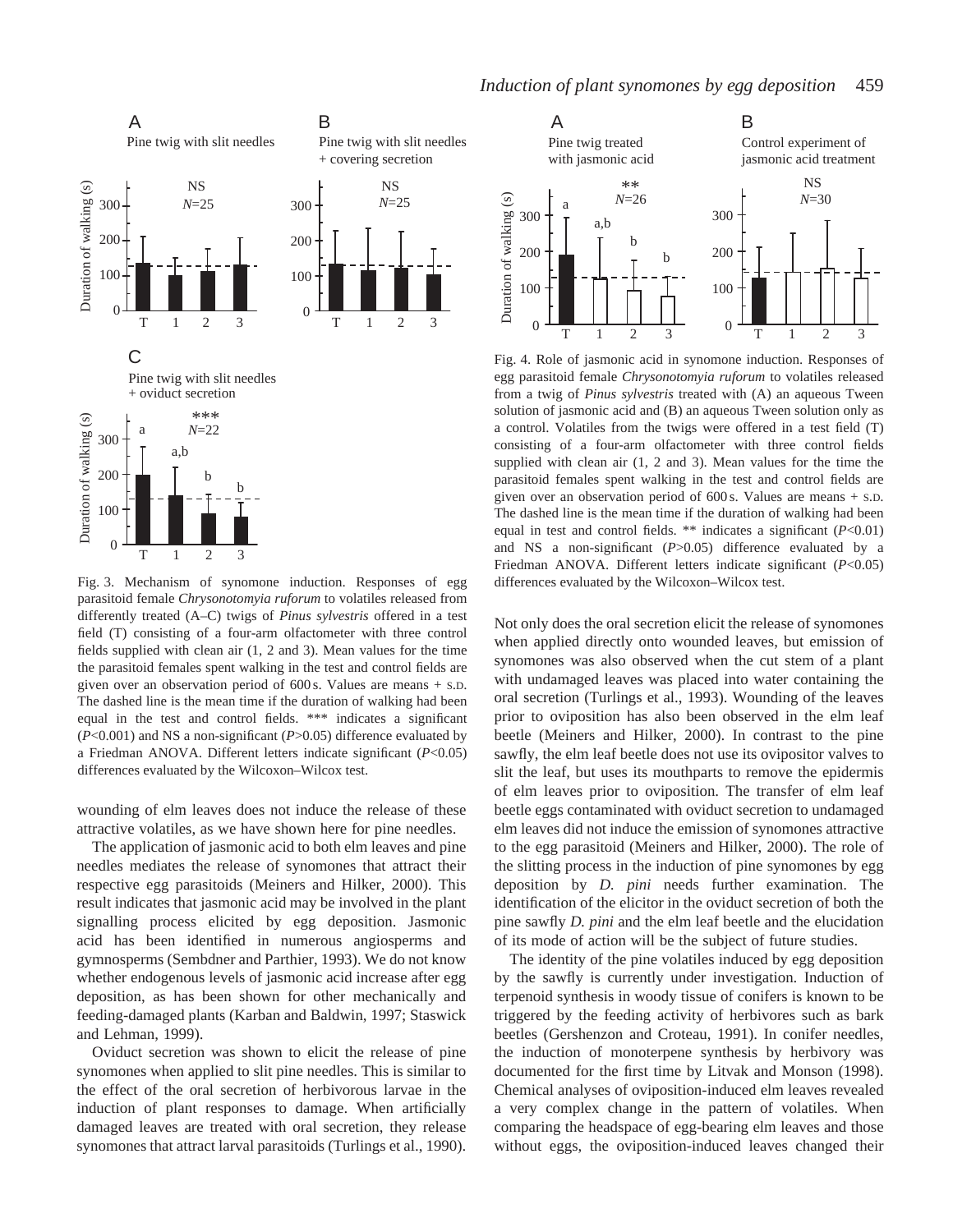

Fig. 3. Mechanism of synomone induction. Responses of egg parasitoid female *Chrysonotomyia ruforum* to volatiles released from differently treated (A–C) twigs of *Pinus sylvestris* offered in a test field (T) consisting of a four-arm olfactometer with three control fields supplied with clean air (1, 2 and 3). Mean values for the time the parasitoid females spent walking in the test and control fields are given over an observation period of 600 s. Values are means + S.D. The dashed line is the mean time if the duration of walking had been equal in the test and control fields. \*\*\* indicates a significant (*P*<0.001) and NS a non-significant (*P*>0.05) difference evaluated by a Friedman ANOVA. Different letters indicate significant (*P*<0.05) differences evaluated by the Wilcoxon–Wilcox test.

wounding of elm leaves does not induce the release of these attractive volatiles, as we have shown here for pine needles.

The application of jasmonic acid to both elm leaves and pine needles mediates the release of synomones that attract their respective egg parasitoids (Meiners and Hilker, 2000). This result indicates that jasmonic acid may be involved in the plant signalling process elicited by egg deposition. Jasmonic acid has been identified in numerous angiosperms and gymnosperms (Sembdner and Parthier, 1993). We do not know whether endogenous levels of jasmonic acid increase after egg deposition, as has been shown for other mechanically and feeding-damaged plants (Karban and Baldwin, 1997; Staswick and Lehman, 1999).

Oviduct secretion was shown to elicit the release of pine synomones when applied to slit pine needles. This is similar to the effect of the oral secretion of herbivorous larvae in the induction of plant responses to damage. When artificially damaged leaves are treated with oral secretion, they release synomones that attract larval parasitoids (Turlings et al., 1990).



Fig. 4. Role of jasmonic acid in synomone induction. Responses of egg parasitoid female *Chrysonotomyia ruforum* to volatiles released from a twig of *Pinus sylvestris* treated with (A) an aqueous Tween solution of jasmonic acid and (B) an aqueous Tween solution only as a control. Volatiles from the twigs were offered in a test field (T) consisting of a four-arm olfactometer with three control fields supplied with clean air (1, 2 and 3). Mean values for the time the parasitoid females spent walking in the test and control fields are given over an observation period of 600 s. Values are means + S.D. The dashed line is the mean time if the duration of walking had been equal in test and control fields. \*\* indicates a significant (*P*<0.01) and NS a non-significant (*P*>0.05) difference evaluated by a Friedman ANOVA. Different letters indicate significant (*P*<0.05) differences evaluated by the Wilcoxon–Wilcox test.

Not only does the oral secretion elicit the release of synomones when applied directly onto wounded leaves, but emission of synomones was also observed when the cut stem of a plant with undamaged leaves was placed into water containing the oral secretion (Turlings et al., 1993). Wounding of the leaves prior to oviposition has also been observed in the elm leaf beetle (Meiners and Hilker, 2000). In contrast to the pine sawfly, the elm leaf beetle does not use its ovipositor valves to slit the leaf, but uses its mouthparts to remove the epidermis of elm leaves prior to oviposition. The transfer of elm leaf beetle eggs contaminated with oviduct secretion to undamaged elm leaves did not induce the emission of synomones attractive to the egg parasitoid (Meiners and Hilker, 2000). The role of the slitting process in the induction of pine synomones by egg deposition by *D. pini* needs further examination. The identification of the elicitor in the oviduct secretion of both the pine sawfly *D. pini* and the elm leaf beetle and the elucidation of its mode of action will be the subject of future studies.

The identity of the pine volatiles induced by egg deposition by the sawfly is currently under investigation. Induction of terpenoid synthesis in woody tissue of conifers is known to be triggered by the feeding activity of herbivores such as bark beetles (Gershenzon and Croteau, 1991). In conifer needles, the induction of monoterpene synthesis by herbivory was documented for the first time by Litvak and Monson (1998). Chemical analyses of oviposition-induced elm leaves revealed a very complex change in the pattern of volatiles. When comparing the headspace of egg-bearing elm leaves and those without eggs, the oviposition-induced leaves changed their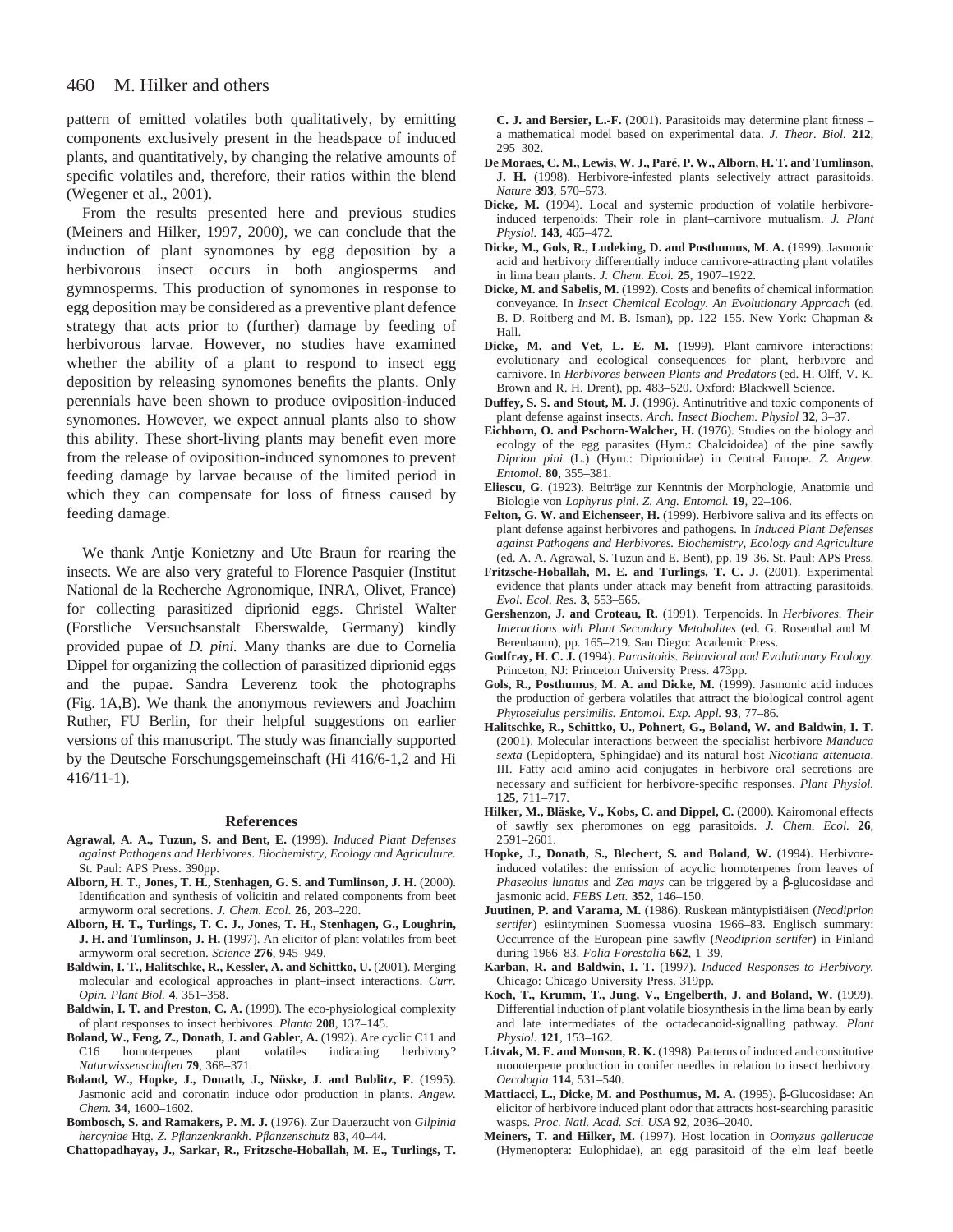#### 460 M. Hilker and others

pattern of emitted volatiles both qualitatively, by emitting components exclusively present in the headspace of induced plants, and quantitatively, by changing the relative amounts of specific volatiles and, therefore, their ratios within the blend (Wegener et al., 2001).

From the results presented here and previous studies (Meiners and Hilker, 1997, 2000), we can conclude that the induction of plant synomones by egg deposition by a herbivorous insect occurs in both angiosperms and gymnosperms. This production of synomones in response to egg deposition may be considered as a preventive plant defence strategy that acts prior to (further) damage by feeding of herbivorous larvae. However, no studies have examined whether the ability of a plant to respond to insect egg deposition by releasing synomones benefits the plants. Only perennials have been shown to produce oviposition-induced synomones. However, we expect annual plants also to show this ability. These short-living plants may benefit even more from the release of oviposition-induced synomones to prevent feeding damage by larvae because of the limited period in which they can compensate for loss of fitness caused by feeding damage.

We thank Antje Konietzny and Ute Braun for rearing the insects. We are also very grateful to Florence Pasquier (Institut National de la Recherche Agronomique, INRA, Olivet, France) for collecting parasitized diprionid eggs. Christel Walter (Forstliche Versuchsanstalt Eberswalde, Germany) kindly provided pupae of *D. pini.* Many thanks are due to Cornelia Dippel for organizing the collection of parasitized diprionid eggs and the pupae. Sandra Leverenz took the photographs (Fig. 1A,B). We thank the anonymous reviewers and Joachim Ruther, FU Berlin, for their helpful suggestions on earlier versions of this manuscript. The study was financially supported by the Deutsche Forschungsgemeinschaft (Hi 416/6-1,2 and Hi 416/11-1).

#### **References**

- **Agrawal, A. A., Tuzun, S. and Bent, E.** (1999). *Induced Plant Defenses against Pathogens and Herbivores. Biochemistry, Ecology and Agriculture.* St. Paul: APS Press. 390pp.
- **Alborn, H. T., Jones, T. H., Stenhagen, G. S. and Tumlinson, J. H.** (2000). Identification and synthesis of volicitin and related components from beet armyworm oral secretions. *J. Chem. Ecol*. **26**, 203–220.
- **Alborn, H. T., Turlings, T. C. J., Jones, T. H., Stenhagen, G., Loughrin, J. H. and Tumlinson, J. H.** (1997). An elicitor of plant volatiles from beet armyworm oral secretion. *Science* **276**, 945–949.
- **Baldwin, I. T., Halitschke, R., Kessler, A. and Schittko, U.** (2001). Merging molecular and ecological approaches in plant–insect interactions. *Curr. Opin. Plant Biol.* **4**, 351–358.
- **Baldwin, I. T. and Preston, C. A.** (1999). The eco-physiological complexity of plant responses to insect herbivores. *Planta* **208**, 137–145.
- **Boland, W., Feng, Z., Donath, J. and Gabler, A.** (1992). Are cyclic C11 and C16 homoterpenes plant volatiles indicating herbivory? C16 homoterpenes plant volatiles indicating herbivory? *Naturwissenschaften* **79**, 368–371.
- **Boland, W., Hopke, J., Donath, J., Nüske, J. and Bublitz, F.** (1995). Jasmonic acid and coronatin induce odor production in plants. *Angew. Chem.* **34**, 1600–1602.
- **Bombosch, S. and Ramakers, P. M. J.** (1976). Zur Dauerzucht von *Gilpinia hercyniae* Htg. *Z. Pflanzenkrankh. Pflanzenschutz* **83**, 40–44.

**Chattopadhayay, J., Sarkar, R., Fritzsche-Hoballah, M. E., Turlings, T.**

**C. J. and Bersier, L.-F.** (2001). Parasitoids may determine plant fitness – a mathematical model based on experimental data. *J. Theor. Biol.* **212**, 295–302.

- **De Moraes, C. M., Lewis, W. J., Paré, P. W., Alborn, H. T. and Tumlinson, J. H.** (1998). Herbivore-infested plants selectively attract parasitoids. *Nature* **393**, 570–573.
- **Dicke, M.** (1994). Local and systemic production of volatile herbivoreinduced terpenoids: Their role in plant–carnivore mutualism. *J. Plant Physiol.* **143**, 465–472.
- **Dicke, M., Gols, R., Ludeking, D. and Posthumus, M. A.** (1999). Jasmonic acid and herbivory differentially induce carnivore-attracting plant volatiles in lima bean plants. *J. Chem. Ecol.* **25**, 1907–1922.
- **Dicke, M. and Sabelis, M.** (1992). Costs and benefits of chemical information conveyance. In *Insect Chemical Ecology. An Evolutionary Approach* (ed. B. D. Roitberg and M. B. Isman), pp. 122–155. New York: Chapman & Hall.
- **Dicke, M. and Vet, L. E. M.** (1999). Plant–carnivore interactions: evolutionary and ecological consequences for plant, herbivore and carnivore. In *Herbivores between Plants and Predators* (ed. H. Olff, V. K. Brown and R. H. Drent), pp. 483–520. Oxford: Blackwell Science.
- **Duffey, S. S. and Stout, M. J.** (1996). Antinutritive and toxic components of plant defense against insects. *Arch. Insect Biochem. Physiol* **32**, 3–37.
- **Eichhorn, O. and Pschorn-Walcher, H.** (1976). Studies on the biology and ecology of the egg parasites (Hym.: Chalcidoidea) of the pine sawfly *Diprion pini* (L.) (Hym.: Diprionidae) in Central Europe. *Z. Angew. Entomol.* **80**, 355–381.
- **Eliescu, G.** (1923). Beiträge zur Kenntnis der Morphologie, Anatomie und Biologie von *Lophyrus pini*. *Z. Ang. Entomol.* **19**, 22–106.
- **Felton, G. W. and Eichenseer, H.** (1999). Herbivore saliva and its effects on plant defense against herbivores and pathogens. In *Induced Plant Defenses against Pathogens and Herbivores. Biochemistry, Ecology and Agriculture* (ed. A. A. Agrawal, S. Tuzun and E. Bent), pp. 19–36. St. Paul: APS Press.
- **Fritzsche-Hoballah, M. E. and Turlings, T. C. J.** (2001). Experimental evidence that plants under attack may benefit from attracting parasitoids. *Evol. Ecol. Res.* **3**, 553–565.
- **Gershenzon, J. and Croteau, R.** (1991). Terpenoids. In *Herbivores. Their Interactions with Plant Secondary Metabolites* (ed. G. Rosenthal and M. Berenbaum), pp. 165–219. San Diego: Academic Press.
- **Godfray, H. C. J.** (1994). *Parasitoids. Behavioral and Evolutionary Ecology.* Princeton, NJ: Princeton University Press. 473pp.
- **Gols, R., Posthumus, M. A. and Dicke, M.** (1999). Jasmonic acid induces the production of gerbera volatiles that attract the biological control agent *Phytoseiulus persimilis. Entomol. Exp. Appl.* **93**, 77–86.
- **Halitschke, R., Schittko, U., Pohnert, G., Boland, W. and Baldwin, I. T.** (2001). Molecular interactions between the specialist herbivore *Manduca sexta* (Lepidoptera, Sphingidae) and its natural host *Nicotiana attenuata*. III. Fatty acid–amino acid conjugates in herbivore oral secretions are necessary and sufficient for herbivore-specific responses. *Plant Physiol.* **125**, 711–717.
- **Hilker, M., Bläske, V., Kobs, C. and Dippel, C.** (2000). Kairomonal effects of sawfly sex pheromones on egg parasitoids. *J. Chem. Ecol.* **26**, 2591–2601.
- **Hopke, J., Donath, S., Blechert, S. and Boland, W.** (1994). Herbivoreinduced volatiles: the emission of acyclic homoterpenes from leaves of *Phaseolus lunatus* and *Zea mays* can be triggered by a β-glucosidase and jasmonic acid. *FEBS Lett.* **352**, 146–150.
- **Juutinen, P. and Varama, M.** (1986). Ruskean mäntypistiäisen (*Neodiprion sertifer*) esiintyminen Suomessa vuosina 1966–83. Englisch summary: Occurrence of the European pine sawfly (*Neodiprion sertifer*) in Finland during 1966–83. *Folia Forestalia* **662**, 1–39.
- **Karban, R. and Baldwin, I. T.** (1997). *Induced Responses to Herbivory.* Chicago: Chicago University Press. 319pp.
- **Koch, T., Krumm, T., Jung, V., Engelberth, J. and Boland, W.** (1999). Differential induction of plant volatile biosynthesis in the lima bean by early and late intermediates of the octadecanoid-signalling pathway. *Plant Physiol.* **121**, 153–162.
- **Litvak, M. E. and Monson, R. K.** (1998). Patterns of induced and constitutive monoterpene production in conifer needles in relation to insect herbivory. *Oecologia* **114**, 531–540.
- **Mattiacci, L., Dicke, M. and Posthumus, M. A.** (1995). β-Glucosidase: An elicitor of herbivore induced plant odor that attracts host-searching parasitic wasps. *Proc. Natl. Acad. Sci. USA* **92**, 2036–2040.
- **Meiners, T. and Hilker, M.** (1997). Host location in *Oomyzus gallerucae* (Hymenoptera: Eulophidae), an egg parasitoid of the elm leaf beetle